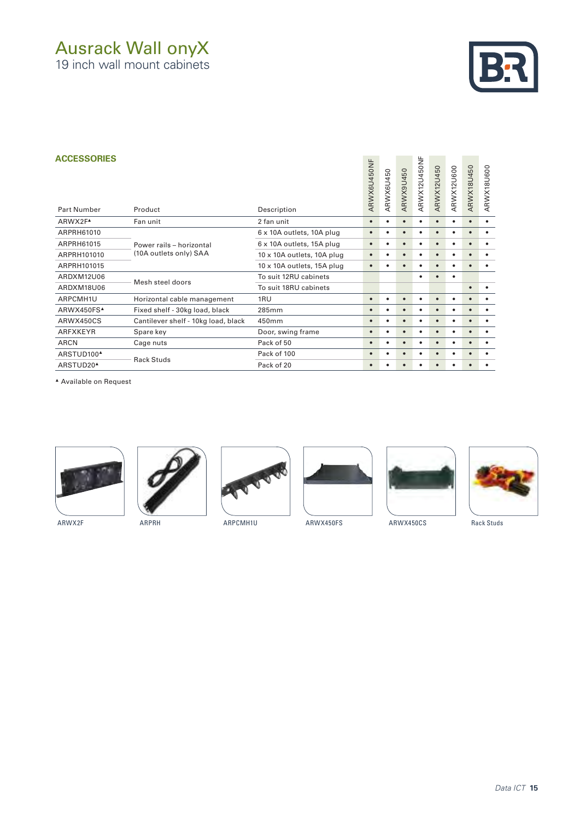# Ausrack Wall onyX

19 inch wall mount cabinets



#### **ACCESSORIES**

| <b>ACCESSORIES</b><br><b>Part Number</b> | Product                                                                                                                                                                                                                       | Description                | ARWX6U450NF | ARWX6U450 | ARWX9U450 | ARWX12U450NF | <b>ARWX12U450</b> | ARWX12U600 | ARWX18U450 | ARWX18U600 |
|------------------------------------------|-------------------------------------------------------------------------------------------------------------------------------------------------------------------------------------------------------------------------------|----------------------------|-------------|-----------|-----------|--------------|-------------------|------------|------------|------------|
| ARWX2F <sup>A</sup>                      | Fan unit                                                                                                                                                                                                                      | 2 fan unit                 | $\bullet$   | $\bullet$ | $\bullet$ | ٠            |                   | $\bullet$  | $\bullet$  | $\bullet$  |
| ARPRH61010                               |                                                                                                                                                                                                                               | 6 x 10A outlets, 10A plug  | $\bullet$   | ٠         |           |              |                   | ٠          | $\bullet$  |            |
| ARPRH61015                               | Power rails - horizontal<br>(10A outlets only) SAA<br>Mesh steel doors<br>Horizontal cable management<br>Fixed shelf - 30kg load, black<br>Cantilever shelf - 10kg load, black<br>Spare key<br>Cage nuts<br><b>Rack Studs</b> | 6 x 10A outlets, 15A plug  | $\bullet$   | $\bullet$ | $\bullet$ | ٠            | $\bullet$         | ٠          | $\bullet$  | $\bullet$  |
| ARPRH101010                              |                                                                                                                                                                                                                               | 10 x 10A outlets, 10A plug | $\bullet$   | $\bullet$ | $\bullet$ | $\bullet$    | $\bullet$         | ٠          | $\bullet$  | $\bullet$  |
| ARPRH101015                              |                                                                                                                                                                                                                               | 10 x 10A outlets, 15A plug | $\bullet$   | $\bullet$ | $\bullet$ | ٠            | $\bullet$         | $\bullet$  | $\bullet$  | ٠          |
| ARDXM12U06                               |                                                                                                                                                                                                                               | To suit 12RU cabinets      |             |           |           | ٠            |                   | ٠          |            |            |
| ARDXM18U06                               |                                                                                                                                                                                                                               | To suit 18RU cabinets      |             |           |           |              |                   |            | $\bullet$  |            |
| ARPCMH1U                                 |                                                                                                                                                                                                                               | 1RU                        | $\bullet$   | ٠         | $\bullet$ | ٠            |                   | ٠          | $\bullet$  | ٠          |
| ARWX450FS <sup>A</sup>                   |                                                                                                                                                                                                                               | 285mm                      | $\bullet$   | $\bullet$ |           | ٠            |                   | ٠          | $\bullet$  | ٠          |
| ARWX450CS                                |                                                                                                                                                                                                                               | 450mm                      | $\bullet$   | ٠         | $\bullet$ |              |                   | ٠          | $\bullet$  | ٠          |
| <b>ARFXKEYR</b>                          |                                                                                                                                                                                                                               | Door, swing frame          | $\bullet$   | ٠         |           |              |                   | ٠          | $\bullet$  |            |
| <b>ARCN</b>                              |                                                                                                                                                                                                                               | Pack of 50                 | $\bullet$   | $\bullet$ | $\bullet$ | ٠            | $\bullet$         | ٠          | $\bullet$  | ٠          |
| ARSTUD100 <sup>4</sup>                   |                                                                                                                                                                                                                               | Pack of 100                | $\bullet$   | $\bullet$ | $\bullet$ | ٠            |                   | ٠          | $\bullet$  | $\bullet$  |
| ARSTUD20 <sup>4</sup>                    |                                                                                                                                                                                                                               | Pack of 20                 | $\bullet$   | ٠         |           |              |                   | ٠          | $\bullet$  | ٠          |

▲ Available on Request











ARWX2F ARPRH ARPCMH1U ARWX450FS ARWX450CS Rack Studs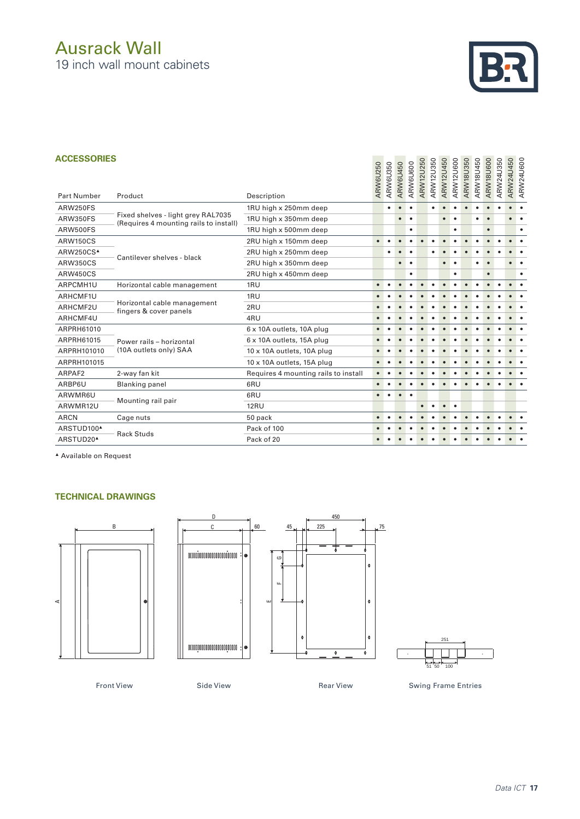# Ausrack Wall

19 inch wall mount cabinets



### **ACCESSORIES**

| <b>ACCESSORIES</b>     |                                                                              | ARW6U250                             | ARW6U350  | ARW6U450  | ARW6U600  | ARW12U250 | ARW12U350 | <b>ARW12U450</b> | ARW12U600 | ARW18U350 | ARW18U450 | ARW18U600 | ARW24U350 | ARW24U450 | ARW24U600 |           |
|------------------------|------------------------------------------------------------------------------|--------------------------------------|-----------|-----------|-----------|-----------|-----------|------------------|-----------|-----------|-----------|-----------|-----------|-----------|-----------|-----------|
| <b>Part Number</b>     | Product                                                                      | Description                          |           |           |           |           |           |                  |           |           |           |           |           |           |           |           |
| ARW250FS               |                                                                              | 1RU high x 250mm deep                |           | ٠         |           |           |           |                  |           |           |           |           |           |           |           |           |
| <b>ARW350FS</b>        | Fixed shelves - light grey RAL7035<br>(Requires 4 mounting rails to install) | 1RU high x 350mm deep                |           |           | $\bullet$ | $\bullet$ |           |                  | $\bullet$ | $\bullet$ |           | ٠         | $\bullet$ |           | $\bullet$ |           |
| ARW500FS               |                                                                              | 1RU high x 500mm deep                |           |           |           | $\bullet$ |           |                  |           | ٠         |           |           | $\bullet$ |           |           | $\bullet$ |
| <b>ARW150CS</b>        |                                                                              | 2RU high x 150mm deep                | $\bullet$ |           |           |           |           |                  |           |           |           |           |           |           |           |           |
| ARW250CS <sup>4</sup>  | Cantilever shelves - black                                                   | 2RU high x 250mm deep                |           |           |           |           |           |                  |           |           |           |           |           |           |           |           |
| <b>ARW350CS</b>        |                                                                              | 2RU high x 350mm deep                |           |           | $\bullet$ | $\bullet$ |           |                  | $\bullet$ |           |           |           | $\bullet$ |           |           |           |
| ARW450CS               |                                                                              | 2RU high x 450mm deep                |           |           |           | ٠         |           |                  |           | ٠         |           |           | $\bullet$ |           |           | $\bullet$ |
| ARPCMH1U               | 1RU<br>Horizontal cable management                                           |                                      | $\bullet$ |           |           |           |           |                  |           |           |           |           |           |           | $\bullet$ |           |
| ARHCMF1U               |                                                                              | 1RU                                  |           |           |           |           |           |                  |           |           |           |           |           |           |           |           |
| ARHCMF2U               | Horizontal cable management<br>fingers & cover panels                        | 2RU                                  |           |           |           |           |           |                  |           |           |           |           |           |           |           |           |
| ARHCMF4U               |                                                                              | 4RU                                  |           |           |           |           |           |                  |           |           |           |           |           |           |           |           |
| ARPRH61010             |                                                                              | 6 x 10A outlets, 10A plug            | $\bullet$ |           |           |           |           |                  |           |           |           |           |           |           |           |           |
| ARPRH61015             | Power rails - horizontal                                                     | 6 x 10A outlets, 15A plug            |           |           |           |           |           |                  |           |           |           |           |           |           |           |           |
| ARPRH101010            | (10A outlets only) SAA                                                       | 10 x 10A outlets, 10A plug           |           |           |           |           |           |                  |           |           |           |           |           |           |           |           |
| ARPRH101015            |                                                                              | 10 x 10A outlets, 15A plug           |           |           |           |           |           |                  |           |           |           |           |           |           |           |           |
| ARPAF2                 | 2-way fan kit                                                                | Requires 4 mounting rails to install | $\bullet$ |           |           |           |           |                  |           |           |           |           |           |           |           |           |
| ARBP6U                 | <b>Blanking panel</b>                                                        | 6RU                                  | $\bullet$ | $\bullet$ |           |           |           |                  |           |           |           |           |           |           | $\bullet$ |           |
| ARWMR6U                |                                                                              | 6RU                                  | $\bullet$ | $\bullet$ | $\bullet$ | $\bullet$ |           |                  |           |           |           |           |           |           |           |           |
| ARWMR12U               | Mounting rail pair                                                           | <b>12RU</b>                          |           |           |           |           |           |                  |           | $\bullet$ |           |           |           |           |           |           |
| <b>ARCN</b>            | Cage nuts                                                                    | 50 pack                              | $\bullet$ |           |           |           |           |                  |           |           |           |           |           |           |           |           |
| ARSTUD100 <sup>4</sup> | <b>Rack Studs</b>                                                            | Pack of 100                          |           |           |           |           |           |                  |           |           |           |           |           |           |           |           |
| ARSTUD20 <sup>4</sup>  |                                                                              | Pack of 20                           | $\bullet$ |           |           |           |           |                  |           |           |           |           |           |           |           |           |

▲ Available on Request

## **TECHNICAL DRAWINGS**







Front View Side View Side View Rear View Swing Frame Entries